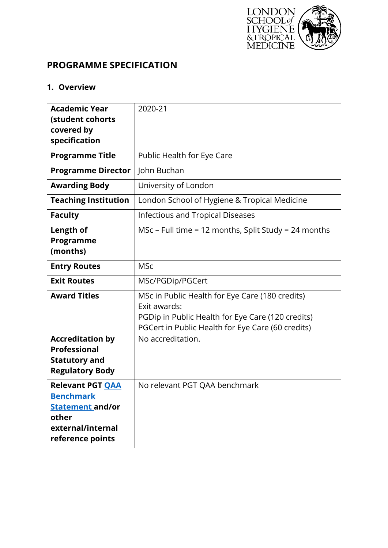

# **PROGRAMME SPECIFICATION**

# **1. Overview**

| <b>Academic Year</b><br>(student cohorts<br>covered by                                                                   | 2020-21                                                                                                                                                                   |
|--------------------------------------------------------------------------------------------------------------------------|---------------------------------------------------------------------------------------------------------------------------------------------------------------------------|
| specification                                                                                                            |                                                                                                                                                                           |
| <b>Programme Title</b>                                                                                                   | Public Health for Eye Care                                                                                                                                                |
| <b>Programme Director</b>                                                                                                | John Buchan                                                                                                                                                               |
| <b>Awarding Body</b>                                                                                                     | University of London                                                                                                                                                      |
| <b>Teaching Institution</b>                                                                                              | London School of Hygiene & Tropical Medicine                                                                                                                              |
| <b>Faculty</b>                                                                                                           | <b>Infectious and Tropical Diseases</b>                                                                                                                                   |
| Length of<br>Programme<br>(months)                                                                                       | MSc – Full time = 12 months, Split Study = 24 months                                                                                                                      |
| <b>Entry Routes</b>                                                                                                      | <b>MSc</b>                                                                                                                                                                |
| <b>Exit Routes</b>                                                                                                       | MSc/PGDip/PGCert                                                                                                                                                          |
| <b>Award Titles</b>                                                                                                      | MSc in Public Health for Eye Care (180 credits)<br>Exit awards:<br>PGDip in Public Health for Eye Care (120 credits)<br>PGCert in Public Health for Eye Care (60 credits) |
| <b>Accreditation by</b><br><b>Professional</b><br><b>Statutory and</b><br><b>Regulatory Body</b>                         | No accreditation.                                                                                                                                                         |
| <b>Relevant PGT QAA</b><br><b>Benchmark</b><br><b>Statement and/or</b><br>other<br>external/internal<br>reference points | No relevant PGT QAA benchmark                                                                                                                                             |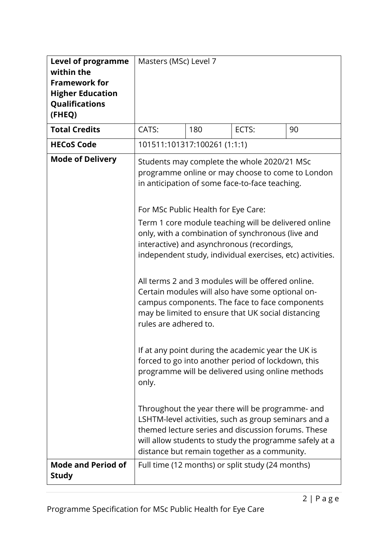| <b>Level of programme</b><br>within the<br><b>Framework for</b><br><b>Higher Education</b><br>Qualifications<br>(FHEQ) | Masters (MSc) Level 7                                                 |     |                                                                                                                                                                                                                                                                                                                                                                                                                                                                                                                                                                                                                                                                                                                                                                                                                                                                                                                                                                                                                                        |    |
|------------------------------------------------------------------------------------------------------------------------|-----------------------------------------------------------------------|-----|----------------------------------------------------------------------------------------------------------------------------------------------------------------------------------------------------------------------------------------------------------------------------------------------------------------------------------------------------------------------------------------------------------------------------------------------------------------------------------------------------------------------------------------------------------------------------------------------------------------------------------------------------------------------------------------------------------------------------------------------------------------------------------------------------------------------------------------------------------------------------------------------------------------------------------------------------------------------------------------------------------------------------------------|----|
| <b>Total Credits</b>                                                                                                   | CATS:                                                                 | 180 | ECTS:                                                                                                                                                                                                                                                                                                                                                                                                                                                                                                                                                                                                                                                                                                                                                                                                                                                                                                                                                                                                                                  | 90 |
| <b>HECoS Code</b>                                                                                                      | 101511:101317:100261 (1:1:1)                                          |     |                                                                                                                                                                                                                                                                                                                                                                                                                                                                                                                                                                                                                                                                                                                                                                                                                                                                                                                                                                                                                                        |    |
| <b>Mode of Delivery</b>                                                                                                | For MSc Public Health for Eye Care:<br>rules are adhered to.<br>only. |     | Students may complete the whole 2020/21 MSc<br>programme online or may choose to come to London<br>in anticipation of some face-to-face teaching.<br>Term 1 core module teaching will be delivered online<br>only, with a combination of synchronous (live and<br>interactive) and asynchronous (recordings,<br>independent study, individual exercises, etc) activities.<br>All terms 2 and 3 modules will be offered online.<br>Certain modules will also have some optional on-<br>campus components. The face to face components<br>may be limited to ensure that UK social distancing<br>If at any point during the academic year the UK is<br>forced to go into another period of lockdown, this<br>programme will be delivered using online methods<br>Throughout the year there will be programme- and<br>LSHTM-level activities, such as group seminars and a<br>themed lecture series and discussion forums. These<br>will allow students to study the programme safely at a<br>distance but remain together as a community. |    |
| <b>Mode and Period of</b><br><b>Study</b>                                                                              |                                                                       |     | Full time (12 months) or split study (24 months)                                                                                                                                                                                                                                                                                                                                                                                                                                                                                                                                                                                                                                                                                                                                                                                                                                                                                                                                                                                       |    |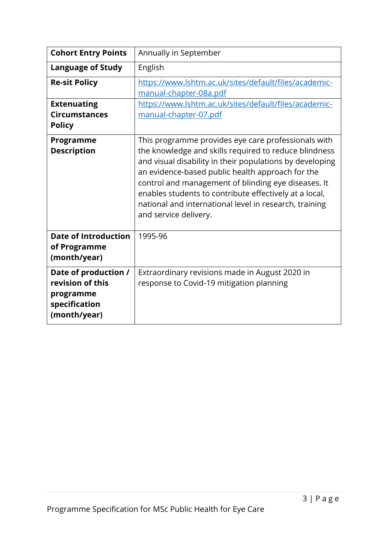| <b>Cohort Entry Points</b>                                                             | Annually in September                                                                                                                                                                                                                                                                                                                                                                                                            |
|----------------------------------------------------------------------------------------|----------------------------------------------------------------------------------------------------------------------------------------------------------------------------------------------------------------------------------------------------------------------------------------------------------------------------------------------------------------------------------------------------------------------------------|
| <b>Language of Study</b>                                                               | English                                                                                                                                                                                                                                                                                                                                                                                                                          |
| <b>Re-sit Policy</b>                                                                   | https://www.lshtm.ac.uk/sites/default/files/academic-<br>manual-chapter-08a.pdf                                                                                                                                                                                                                                                                                                                                                  |
| <b>Extenuating</b><br><b>Circumstances</b><br><b>Policy</b>                            | https://www.lshtm.ac.uk/sites/default/files/academic-<br>manual-chapter-07.pdf                                                                                                                                                                                                                                                                                                                                                   |
| Programme<br><b>Description</b>                                                        | This programme provides eye care professionals with<br>the knowledge and skills required to reduce blindness<br>and visual disability in their populations by developing<br>an evidence-based public health approach for the<br>control and management of blinding eye diseases. It<br>enables students to contribute effectively at a local,<br>national and international level in research, training<br>and service delivery. |
| <b>Date of Introduction</b><br>of Programme<br>(month/year)                            | 1995-96                                                                                                                                                                                                                                                                                                                                                                                                                          |
| Date of production /<br>revision of this<br>programme<br>specification<br>(month/year) | Extraordinary revisions made in August 2020 in<br>response to Covid-19 mitigation planning                                                                                                                                                                                                                                                                                                                                       |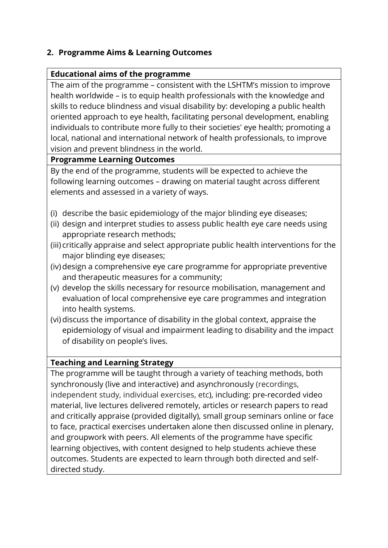## **2. Programme Aims & Learning Outcomes**

### **Educational aims of the programme**

The aim of the programme – consistent with the LSHTM's mission to improve health worldwide – is to equip health professionals with the knowledge and skills to reduce blindness and visual disability by: developing a public health oriented approach to eye health, facilitating personal development, enabling individuals to contribute more fully to their societies' eye health; promoting a local, national and international network of health professionals, to improve vision and prevent blindness in the world.

### **Programme Learning Outcomes**

By the end of the programme, students will be expected to achieve the following learning outcomes – drawing on material taught across different elements and assessed in a variety of ways.

- (i) describe the basic epidemiology of the major blinding eye diseases;
- (ii) design and interpret studies to assess public health eye care needs using appropriate research methods;
- (iii) critically appraise and select appropriate public health interventions for the major blinding eye diseases;
- (iv) design a comprehensive eye care programme for appropriate preventive and therapeutic measures for a community;
- (v) develop the skills necessary for resource mobilisation, management and evaluation of local comprehensive eye care programmes and integration into health systems.
- (vi) discuss the importance of disability in the global context, appraise the epidemiology of visual and impairment leading to disability and the impact of disability on people's lives.

### **Teaching and Learning Strategy**

The programme will be taught through a variety of teaching methods, both synchronously (live and interactive) and asynchronously (recordings, independent study, individual exercises, etc), including: pre-recorded video material, live lectures delivered remotely, articles or research papers to read and critically appraise (provided digitally), small group seminars online or face to face, practical exercises undertaken alone then discussed online in plenary, and groupwork with peers. All elements of the programme have specific learning objectives, with content designed to help students achieve these outcomes. Students are expected to learn through both directed and selfdirected study.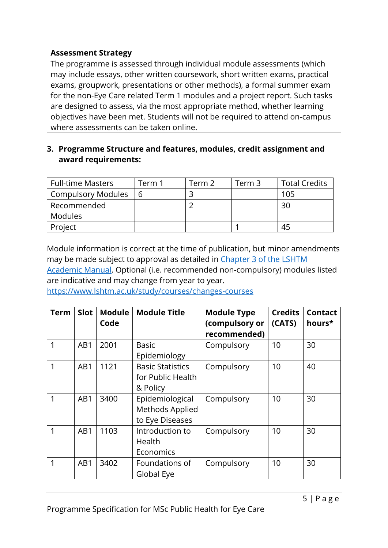### **Assessment Strategy**

The programme is assessed through individual module assessments (which may include essays, other written coursework, short written exams, practical exams, groupwork, presentations or other methods), a formal summer exam for the non-Eye Care related Term 1 modules and a project report. Such tasks are designed to assess, via the most appropriate method, whether learning objectives have been met. Students will not be required to attend on-campus where assessments can be taken online.

### **3. Programme Structure and features, modules, credit assignment and award requirements:**

| <b>Full-time Masters</b>  | Ferm 1 | Term 2 | Term 3 | <b>Total Credits</b> |
|---------------------------|--------|--------|--------|----------------------|
| <b>Compulsory Modules</b> | b      |        |        | 105                  |
| Recommended               |        |        |        | 30                   |
| <b>Modules</b>            |        |        |        |                      |
| Project                   |        |        |        | 45                   |

Module information is correct at the time of publication, but minor amendments may be made subject to approval as detailed in [Chapter 3 of the LSHTM](https://www.lshtm.ac.uk/sites/default/files/academic-manual-chapter-03.pdf)  [Academic Manual.](https://www.lshtm.ac.uk/sites/default/files/academic-manual-chapter-03.pdf) Optional (i.e. recommended non-compulsory) modules listed are indicative and may change from year to year.

<https://www.lshtm.ac.uk/study/courses/changes-courses>

| <b>Term</b> | <b>Slot</b> | <b>Module</b><br>Code | <b>Module Title</b>                                      | <b>Module Type</b><br>(compulsory or<br>recommended) | <b>Credits</b><br>(CATS) | <b>Contact</b><br>hours* |
|-------------|-------------|-----------------------|----------------------------------------------------------|------------------------------------------------------|--------------------------|--------------------------|
| 1           | AB1         | 2001                  | <b>Basic</b><br>Epidemiology                             | Compulsory                                           | 10                       | 30                       |
| 1           | AB1         | 1121                  | <b>Basic Statistics</b><br>for Public Health<br>& Policy | Compulsory                                           | 10                       | 40                       |
| 1           | AB1         | 3400                  | Epidemiological<br>Methods Applied<br>to Eye Diseases    | Compulsory                                           | 10                       | 30                       |
| 1           | AB1         | 1103                  | Introduction to<br>Health<br>Economics                   | Compulsory                                           | 10                       | 30                       |
| 1           | AB1         | 3402                  | Foundations of<br>Global Eye                             | Compulsory                                           | 10                       | 30                       |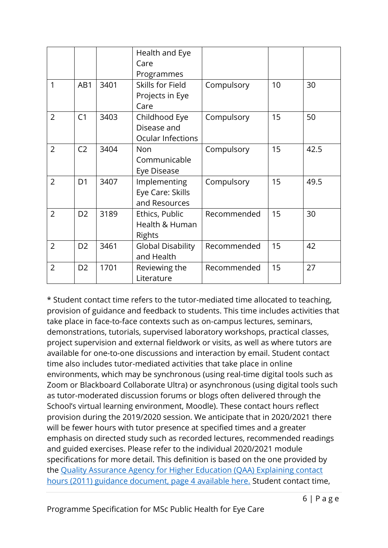|                |                |      | Health and Eye           |             |    |      |
|----------------|----------------|------|--------------------------|-------------|----|------|
|                |                |      | Care                     |             |    |      |
|                |                |      | Programmes               |             |    |      |
| 1              | AB1            | 3401 | Skills for Field         | Compulsory  | 10 | 30   |
|                |                |      | Projects in Eye          |             |    |      |
|                |                |      | Care                     |             |    |      |
| $\overline{2}$ | C <sub>1</sub> | 3403 | Childhood Eye            | Compulsory  | 15 | 50   |
|                |                |      | Disease and              |             |    |      |
|                |                |      | <b>Ocular Infections</b> |             |    |      |
| $\overline{2}$ | C <sub>2</sub> | 3404 | Non                      | Compulsory  | 15 | 42.5 |
|                |                |      | Communicable             |             |    |      |
|                |                |      | Eye Disease              |             |    |      |
| $\overline{2}$ | D <sub>1</sub> | 3407 | Implementing             | Compulsory  | 15 | 49.5 |
|                |                |      | Eye Care: Skills         |             |    |      |
|                |                |      | and Resources            |             |    |      |
| $\overline{2}$ | D <sub>2</sub> | 3189 | Ethics, Public           | Recommended | 15 | 30   |
|                |                |      | Health & Human           |             |    |      |
|                |                |      | <b>Rights</b>            |             |    |      |
| $\overline{2}$ | D <sub>2</sub> | 3461 | <b>Global Disability</b> | Recommended | 15 | 42   |
|                |                |      | and Health               |             |    |      |
| $\overline{2}$ | D <sub>2</sub> | 1701 | Reviewing the            | Recommended | 15 | 27   |
|                |                |      | Literature               |             |    |      |

\* Student contact time refers to the tutor-mediated time allocated to teaching, provision of guidance and feedback to students. This time includes activities that take place in face-to-face contexts such as on-campus lectures, seminars, demonstrations, tutorials, supervised laboratory workshops, practical classes, project supervision and external fieldwork or visits, as well as where tutors are available for one-to-one discussions and interaction by email. Student contact time also includes tutor-mediated activities that take place in online environments, which may be synchronous (using real-time digital tools such as Zoom or Blackboard Collaborate Ultra) or asynchronous (using digital tools such as tutor-moderated discussion forums or blogs often delivered through the School's virtual learning environment, Moodle). These contact hours reflect provision during the 2019/2020 session. We anticipate that in 2020/2021 there will be fewer hours with tutor presence at specified times and a greater emphasis on directed study such as recorded lectures, recommended readings and guided exercises. Please refer to the individual 2020/2021 module specifications for more detail. This definition is based on the one provided by the [Quality Assurance Agency for Higher Education \(QAA\) Explaining contact](https://www.qaa.ac.uk/docs/qaa/quality-code/contact-hours-guidance.pdf)  [hours \(2011\) guidance document, page 4 available here.](https://www.qaa.ac.uk/docs/qaa/quality-code/contact-hours-guidance.pdf) Student contact time,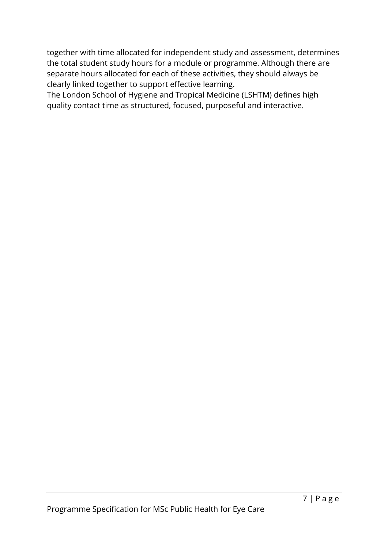together with time allocated for independent study and assessment, determines the total student study hours for a module or programme. Although there are separate hours allocated for each of these activities, they should always be clearly linked together to support effective learning.

The London School of Hygiene and Tropical Medicine (LSHTM) defines high quality contact time as structured, focused, purposeful and interactive.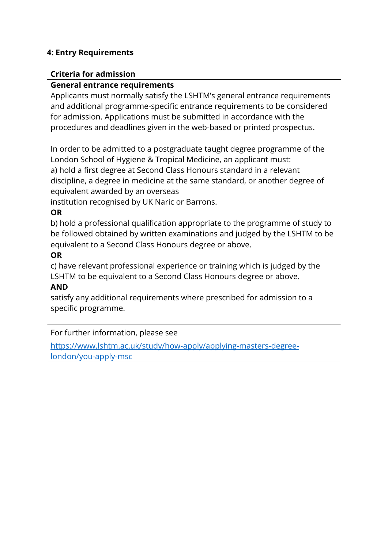### **4: Entry Requirements**

#### **Criteria for admission**

#### **General entrance requirements**

Applicants must normally satisfy the LSHTM's general entrance requirements and additional programme-specific entrance requirements to be considered for admission. Applications must be submitted in accordance with the procedures and deadlines given in the web-based or printed prospectus.

In order to be admitted to a postgraduate taught degree programme of the London School of Hygiene & Tropical Medicine, an applicant must: a) hold a first degree at Second Class Honours standard in a relevant discipline, a degree in medicine at the same standard, or another degree of equivalent awarded by an overseas

institution recognised by UK Naric or Barrons.

### **OR**

b) hold a professional qualification appropriate to the programme of study to be followed obtained by written examinations and judged by the LSHTM to be equivalent to a Second Class Honours degree or above.

### **OR**

c) have relevant professional experience or training which is judged by the LSHTM to be equivalent to a Second Class Honours degree or above.

#### **AND**

satisfy any additional requirements where prescribed for admission to a specific programme.

For further information, please see

[https://www.lshtm.ac.uk/study/how-apply/applying-masters-degree](https://www.lshtm.ac.uk/study/how-apply/applying-masters-degree-london/you-apply-msc)[london/you-apply-msc](https://www.lshtm.ac.uk/study/how-apply/applying-masters-degree-london/you-apply-msc)